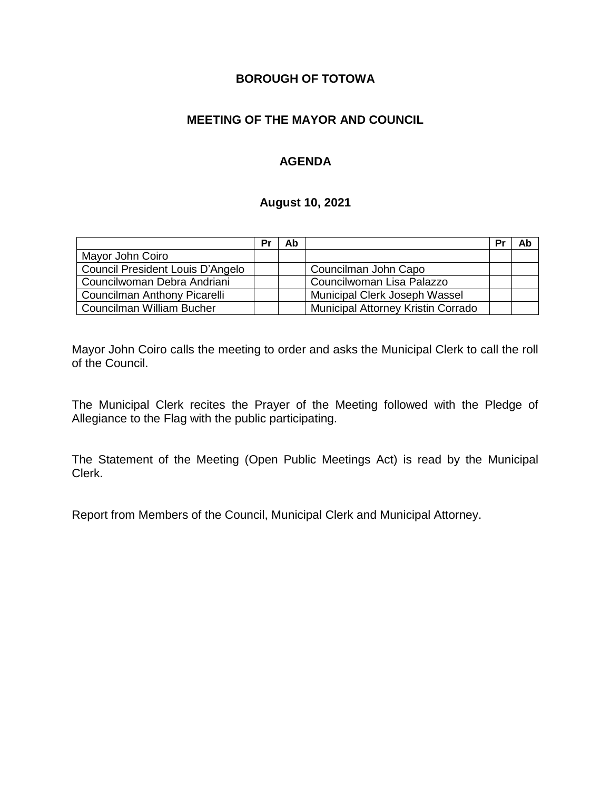# **BOROUGH OF TOTOWA**

# **MEETING OF THE MAYOR AND COUNCIL**

# **AGENDA**

#### **August 10, 2021**

|                                  | Pr | Ab |                                    | Pr | Ab |
|----------------------------------|----|----|------------------------------------|----|----|
| Mayor John Coiro                 |    |    |                                    |    |    |
| Council President Louis D'Angelo |    |    | Councilman John Capo               |    |    |
| Councilwoman Debra Andriani      |    |    | Councilwoman Lisa Palazzo          |    |    |
| Councilman Anthony Picarelli     |    |    | Municipal Clerk Joseph Wassel      |    |    |
| Councilman William Bucher        |    |    | Municipal Attorney Kristin Corrado |    |    |

Mayor John Coiro calls the meeting to order and asks the Municipal Clerk to call the roll of the Council.

The Municipal Clerk recites the Prayer of the Meeting followed with the Pledge of Allegiance to the Flag with the public participating.

The Statement of the Meeting (Open Public Meetings Act) is read by the Municipal Clerk.

Report from Members of the Council, Municipal Clerk and Municipal Attorney.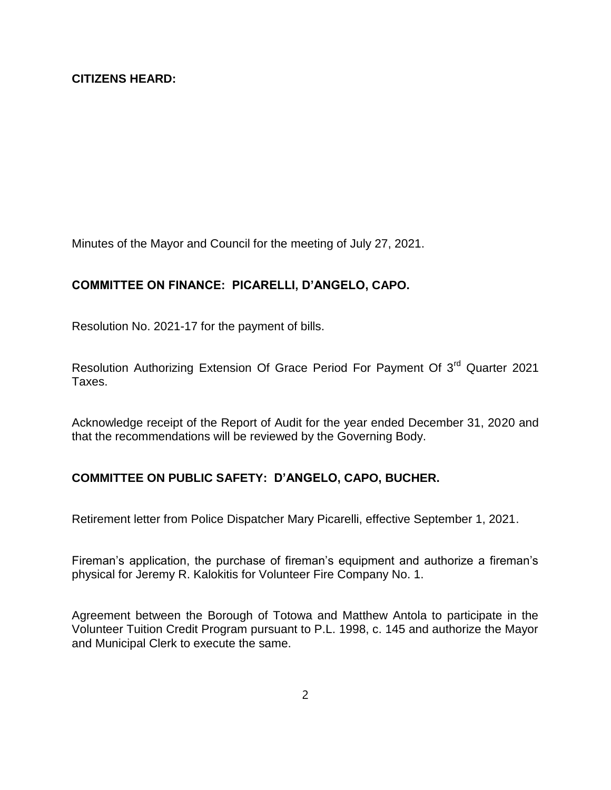Minutes of the Mayor and Council for the meeting of July 27, 2021.

### **COMMITTEE ON FINANCE: PICARELLI, D'ANGELO, CAPO.**

Resolution No. 2021-17 for the payment of bills.

Resolution Authorizing Extension Of Grace Period For Payment Of 3<sup>rd</sup> Quarter 2021 Taxes.

Acknowledge receipt of the Report of Audit for the year ended December 31, 2020 and that the recommendations will be reviewed by the Governing Body.

#### **COMMITTEE ON PUBLIC SAFETY: D'ANGELO, CAPO, BUCHER.**

Retirement letter from Police Dispatcher Mary Picarelli, effective September 1, 2021.

Fireman's application, the purchase of fireman's equipment and authorize a fireman's physical for Jeremy R. Kalokitis for Volunteer Fire Company No. 1.

Agreement between the Borough of Totowa and Matthew Antola to participate in the Volunteer Tuition Credit Program pursuant to P.L. 1998, c. 145 and authorize the Mayor and Municipal Clerk to execute the same.